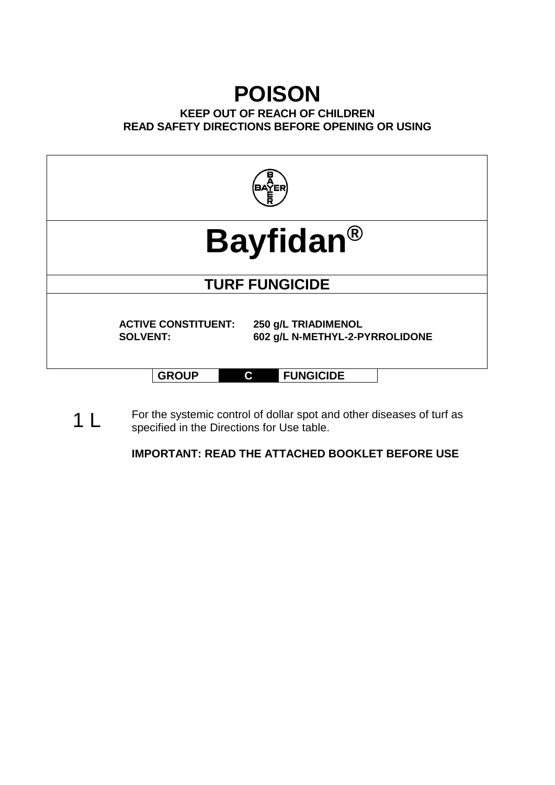# **POISON**

# **KEEP OUT OF REACH OF CHILDREN READ SAFETY DIRECTIONS BEFORE OPENING OR USING**



specified in the Directions for Use table.

**IMPORTANT: READ THE ATTACHED BOOKLET BEFORE USE**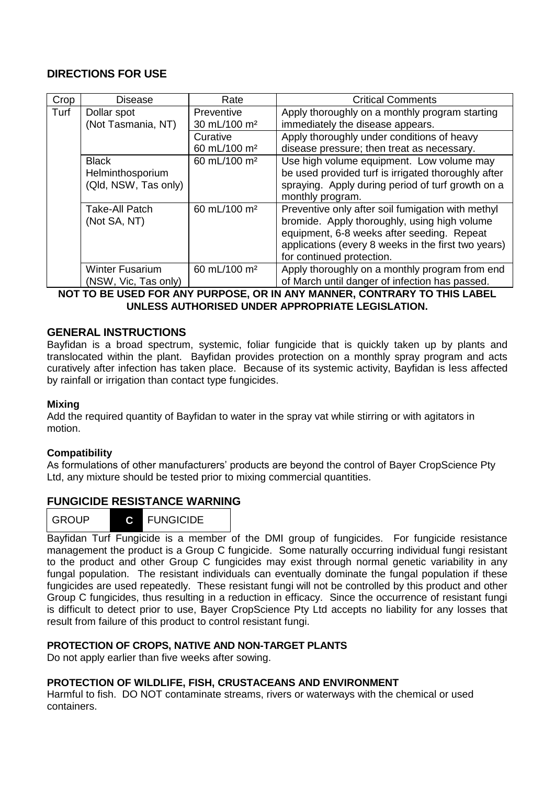## **DIRECTIONS FOR USE**

| Crop | <b>Disease</b>         | Rate                     | <b>Critical Comments</b>                            |
|------|------------------------|--------------------------|-----------------------------------------------------|
| Turf | Dollar spot            | Preventive               | Apply thoroughly on a monthly program starting      |
|      | (Not Tasmania, NT)     | 30 mL/100 m <sup>2</sup> | immediately the disease appears.                    |
|      |                        | Curative                 | Apply thoroughly under conditions of heavy          |
|      |                        | 60 mL/100 m <sup>2</sup> | disease pressure; then treat as necessary.          |
|      | <b>Black</b>           | 60 mL/100 m <sup>2</sup> | Use high volume equipment. Low volume may           |
|      | Helminthosporium       |                          | be used provided turf is irrigated thoroughly after |
|      | (Qld, NSW, Tas only)   |                          | spraying. Apply during period of turf growth on a   |
|      |                        |                          | monthly program.                                    |
|      | Take-All Patch         | 60 mL/100 m <sup>2</sup> | Preventive only after soil fumigation with methyl   |
|      | (Not SA, NT)           |                          | bromide. Apply thoroughly, using high volume        |
|      |                        |                          | equipment, 6-8 weeks after seeding. Repeat          |
|      |                        |                          | applications (every 8 weeks in the first two years) |
|      |                        |                          | for continued protection.                           |
|      | <b>Winter Fusarium</b> | 60 mL/100 m <sup>2</sup> | Apply thoroughly on a monthly program from end      |
|      | (NSW, Vic, Tas only)   |                          | of March until danger of infection has passed.      |

**NOT TO BE USED FOR ANY PURPOSE, OR IN ANY MANNER, CONTRARY TO THIS LABEL UNLESS AUTHORISED UNDER APPROPRIATE LEGISLATION.**

## **GENERAL INSTRUCTIONS**

Bayfidan is a broad spectrum, systemic, foliar fungicide that is quickly taken up by plants and translocated within the plant. Bayfidan provides protection on a monthly spray program and acts curatively after infection has taken place. Because of its systemic activity, Bayfidan is less affected by rainfall or irrigation than contact type fungicides.

## **Mixing**

Add the required quantity of Bayfidan to water in the spray vat while stirring or with agitators in motion.

#### **Compatibility**

As formulations of other manufacturers' products are beyond the control of Bayer CropScience Pty Ltd, any mixture should be tested prior to mixing commercial quantities.

## **FUNGICIDE RESISTANCE WARNING**

| <b>GROUP</b> |  | <b>FUNGICIDE</b> |  |
|--------------|--|------------------|--|
|--------------|--|------------------|--|

Bayfidan Turf Fungicide is a member of the DMI group of fungicides. For fungicide resistance management the product is a Group C fungicide. Some naturally occurring individual fungi resistant to the product and other Group C fungicides may exist through normal genetic variability in any fungal population. The resistant individuals can eventually dominate the fungal population if these fungicides are used repeatedly. These resistant fungi will not be controlled by this product and other Group C fungicides, thus resulting in a reduction in efficacy. Since the occurrence of resistant fungi is difficult to detect prior to use, Bayer CropScience Pty Ltd accepts no liability for any losses that result from failure of this product to control resistant fungi.

## **PROTECTION OF CROPS, NATIVE AND NON-TARGET PLANTS**

Do not apply earlier than five weeks after sowing.

## **PROTECTION OF WILDLIFE, FISH, CRUSTACEANS AND ENVIRONMENT**

Harmful to fish. DO NOT contaminate streams, rivers or waterways with the chemical or used containers.